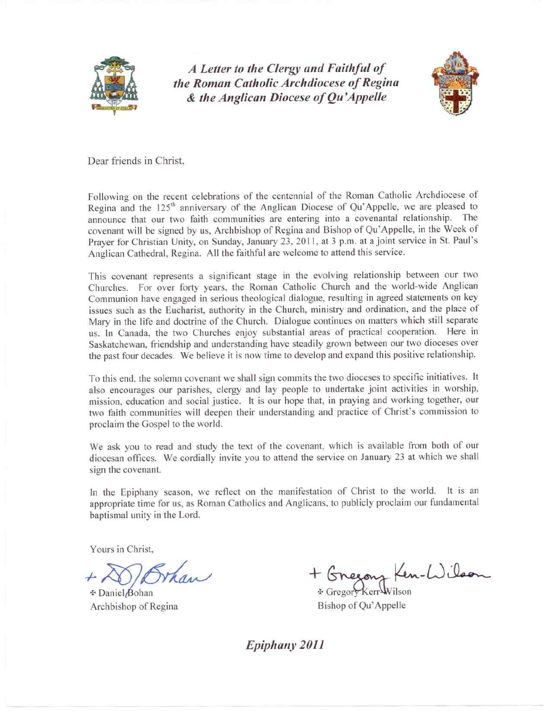

A Letter to the Clergy and Faithful of the Roman Catholic Archdiocese of Regina & the Anglican Diocese of Qu'Appelle



Dear friends in Christ.

Following on the recent celebrations of the centennial of the Roman Catholic Archdiocese of Regina and the 125<sup>th</sup> anniversary of the Anglican Diocese of Qu'Appelle, we are pleased to announce that our two faith communities are entering into a covenantal relationship. The covenant will be signed by us, Archbishop of Regina and Bishop of Qu'Appelle, in the Week of Prayer for Christian Unity, on Sunday, January 23, 2011, at 3 p.m. at a joint service in St. Paul's Anglican Cathedral, Regina. All the faithful are welcome to attend this service.

This covenant represents a significant stage in the evolving relationship between our two Churches. For over forty years, the Roman Catholic Church and the world-wide Anglican Communion have engaged in serious theological dialogue, resulting in agreed statements on key issues such as the Eucharist, authority in the Church, ministry and ordination, and the place of Mary in the life and doctrine of the Church. Dialogue continues on matters which still separate us. In Canada, the two Churches enjoy substantial areas of practical cooperation. Here in Saskatchewan, friendship and understanding have steadily grown between our two dioceses over the past four decades. We believe it is now time to develop and expand this positive relationship.

To this end, the solemn covenant we shall sign commits the two dioceses to specific initiatives. It also encourages our parishes, clergy and lay people to undertake joint activities in worship, mission, education and social justice. It is our hope that, in praying and working together, our two faith communities will deepen their understanding and practice of Christ's commission to proclaim the Gospel to the world.

We ask you to read and study the text of the covenant, which is available from both of our diocesan offices. We cordially invite you to attend the service on January 23 at which we shall sign the covenant.

In the Epiphany season, we reflect on the manifestation of Christ to the world. It is an appropriate time for us, as Roman Catholics and Anglicans, to publicly proclaim our fundamental baptismal unity in the Lord.

Yours in Christ,

Whan

⊕ Daniel Bohan Archbishop of Regina

+ Gnegong Ken-Wilson *⊕* Gregor∀

Bishop of Qu'Appelle

Epiphany 2011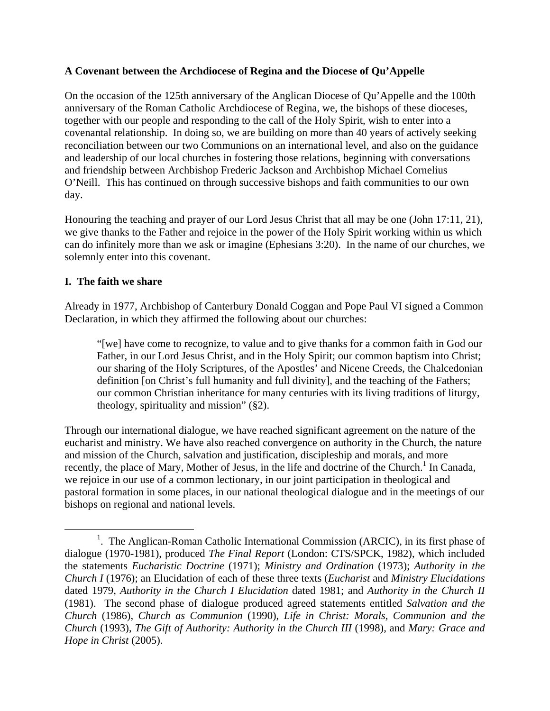## **A Covenant between the Archdiocese of Regina and the Diocese of Qu'Appelle**

On the occasion of the 125th anniversary of the Anglican Diocese of Qu'Appelle and the 100th anniversary of the Roman Catholic Archdiocese of Regina, we, the bishops of these dioceses, together with our people and responding to the call of the Holy Spirit, wish to enter into a covenantal relationship. In doing so, we are building on more than 40 years of actively seeking reconciliation between our two Communions on an international level, and also on the guidance and leadership of our local churches in fostering those relations, beginning with conversations and friendship between Archbishop Frederic Jackson and Archbishop Michael Cornelius O'Neill. This has continued on through successive bishops and faith communities to our own day.

Honouring the teaching and prayer of our Lord Jesus Christ that all may be one (John 17:11, 21), we give thanks to the Father and rejoice in the power of the Holy Spirit working within us which can do infinitely more than we ask or imagine (Ephesians 3:20). In the name of our churches, we solemnly enter into this covenant.

## **I. The faith we share**

Already in 1977, Archbishop of Canterbury Donald Coggan and Pope Paul VI signed a Common Declaration, in which they affirmed the following about our churches:

"[we] have come to recognize, to value and to give thanks for a common faith in God our Father, in our Lord Jesus Christ, and in the Holy Spirit; our common baptism into Christ; our sharing of the Holy Scriptures, of the Apostles' and Nicene Creeds, the Chalcedonian definition [on Christ's full humanity and full divinity], and the teaching of the Fathers; our common Christian inheritance for many centuries with its living traditions of liturgy, theology, spirituality and mission" (§2).

Through our international dialogue, we have reached significant agreement on the nature of the eucharist and ministry. We have also reached convergence on authority in the Church, the nature and mission of the Church, salvation and justification, discipleship and morals, and more recently, the place of Mary, Mother of Jesus, in the life and doctrine of the Church.<sup>1</sup> In Canada, we rejoice in our use of a common lectionary, in our joint participation in theological and pastoral formation in some places, in our national theological dialogue and in the meetings of our bishops on regional and national levels.

<sup>&</sup>lt;u>1</u> <sup>1</sup>. The Anglican-Roman Catholic International Commission (ARCIC), in its first phase of dialogue (1970-1981), produced *The Final Report* (London: CTS/SPCK, 1982), which included the statements *Eucharistic Doctrine* (1971); *Ministry and Ordination* (1973); *Authority in the Church I* (1976); an Elucidation of each of these three texts (*Eucharist* and *Ministry Elucidations* dated 1979, *Authority in the Church I Elucidation* dated 1981; and *Authority in the Church II* (1981). The second phase of dialogue produced agreed statements entitled *Salvation and the Church* (1986), *Church as Communion* (1990), *Life in Christ: Morals, Communion and the Church* (1993), *The Gift of Authority: Authority in the Church III* (1998), and *Mary: Grace and Hope in Christ* (2005).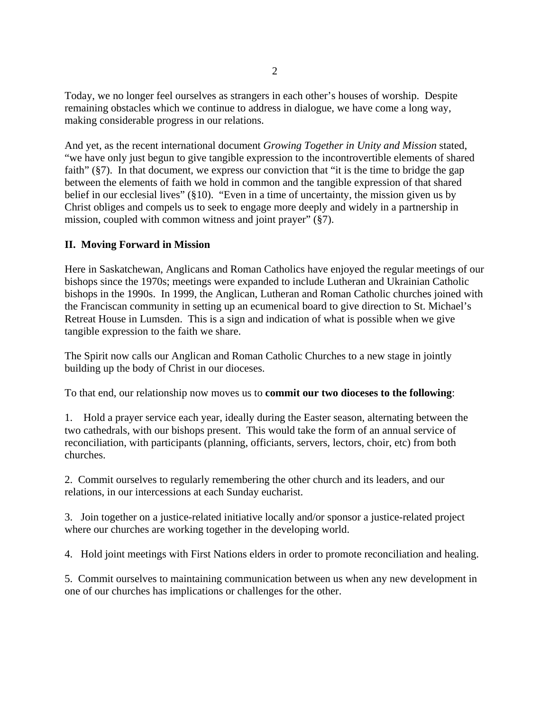Today, we no longer feel ourselves as strangers in each other's houses of worship. Despite remaining obstacles which we continue to address in dialogue, we have come a long way, making considerable progress in our relations.

And yet, as the recent international document *Growing Together in Unity and Mission* stated, "we have only just begun to give tangible expression to the incontrovertible elements of shared faith" (§7). In that document, we express our conviction that "it is the time to bridge the gap between the elements of faith we hold in common and the tangible expression of that shared belief in our ecclesial lives" (§10). "Even in a time of uncertainty, the mission given us by Christ obliges and compels us to seek to engage more deeply and widely in a partnership in mission, coupled with common witness and joint prayer" (§7).

# **II. Moving Forward in Mission**

Here in Saskatchewan, Anglicans and Roman Catholics have enjoyed the regular meetings of our bishops since the 1970s; meetings were expanded to include Lutheran and Ukrainian Catholic bishops in the 1990s. In 1999, the Anglican, Lutheran and Roman Catholic churches joined with the Franciscan community in setting up an ecumenical board to give direction to St. Michael's Retreat House in Lumsden. This is a sign and indication of what is possible when we give tangible expression to the faith we share.

The Spirit now calls our Anglican and Roman Catholic Churches to a new stage in jointly building up the body of Christ in our dioceses.

To that end, our relationship now moves us to **commit our two dioceses to the following**:

1. Hold a prayer service each year, ideally during the Easter season, alternating between the two cathedrals, with our bishops present. This would take the form of an annual service of reconciliation, with participants (planning, officiants, servers, lectors, choir, etc) from both churches.

2. Commit ourselves to regularly remembering the other church and its leaders, and our relations, in our intercessions at each Sunday eucharist.

3. Join together on a justice-related initiative locally and/or sponsor a justice-related project where our churches are working together in the developing world.

4. Hold joint meetings with First Nations elders in order to promote reconciliation and healing.

5. Commit ourselves to maintaining communication between us when any new development in one of our churches has implications or challenges for the other.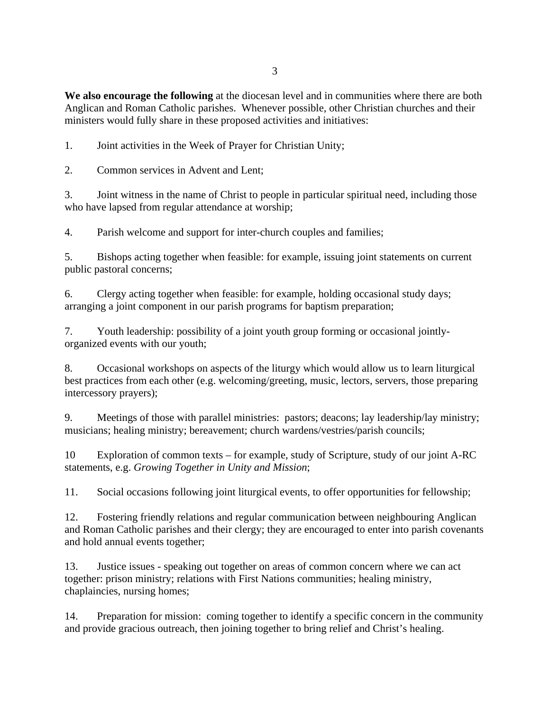3

**We also encourage the following** at the diocesan level and in communities where there are both Anglican and Roman Catholic parishes. Whenever possible, other Christian churches and their ministers would fully share in these proposed activities and initiatives:

1. Joint activities in the Week of Prayer for Christian Unity;

2. Common services in Advent and Lent;

3. Joint witness in the name of Christ to people in particular spiritual need, including those who have lapsed from regular attendance at worship;

4. Parish welcome and support for inter-church couples and families;

5. Bishops acting together when feasible: for example, issuing joint statements on current public pastoral concerns;

6. Clergy acting together when feasible: for example, holding occasional study days; arranging a joint component in our parish programs for baptism preparation;

7. Youth leadership: possibility of a joint youth group forming or occasional jointlyorganized events with our youth;

8. Occasional workshops on aspects of the liturgy which would allow us to learn liturgical best practices from each other (e.g. welcoming/greeting, music, lectors, servers, those preparing intercessory prayers);

9. Meetings of those with parallel ministries: pastors; deacons; lay leadership/lay ministry; musicians; healing ministry; bereavement; church wardens/vestries/parish councils;

10 Exploration of common texts – for example, study of Scripture, study of our joint A-RC statements, e.g. *Growing Together in Unity and Mission*;

11. Social occasions following joint liturgical events, to offer opportunities for fellowship;

12. Fostering friendly relations and regular communication between neighbouring Anglican and Roman Catholic parishes and their clergy; they are encouraged to enter into parish covenants and hold annual events together;

13. Justice issues - speaking out together on areas of common concern where we can act together: prison ministry; relations with First Nations communities; healing ministry, chaplaincies, nursing homes;

14. Preparation for mission: coming together to identify a specific concern in the community and provide gracious outreach, then joining together to bring relief and Christ's healing.